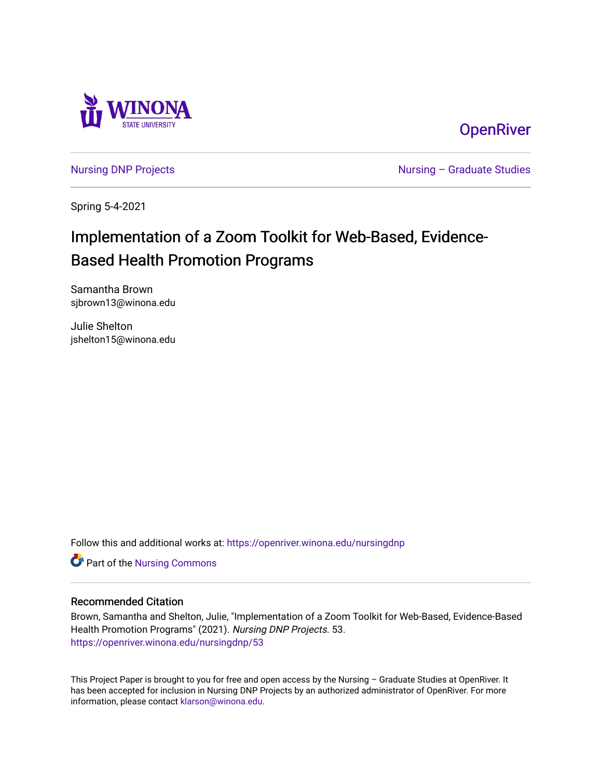

**OpenRiver** 

[Nursing DNP Projects](https://openriver.winona.edu/nursingdnp) **Nursing – Graduate Studies** 

Spring 5-4-2021

# Implementation of a Zoom Toolkit for Web-Based, Evidence-Based Health Promotion Programs

Samantha Brown sjbrown13@winona.edu

Julie Shelton jshelton15@winona.edu

Follow this and additional works at: [https://openriver.winona.edu/nursingdnp](https://openriver.winona.edu/nursingdnp?utm_source=openriver.winona.edu%2Fnursingdnp%2F53&utm_medium=PDF&utm_campaign=PDFCoverPages) 

Part of the [Nursing Commons](http://network.bepress.com/hgg/discipline/718?utm_source=openriver.winona.edu%2Fnursingdnp%2F53&utm_medium=PDF&utm_campaign=PDFCoverPages) 

### Recommended Citation

Brown, Samantha and Shelton, Julie, "Implementation of a Zoom Toolkit for Web-Based, Evidence-Based Health Promotion Programs" (2021). Nursing DNP Projects. 53. [https://openriver.winona.edu/nursingdnp/53](https://openriver.winona.edu/nursingdnp/53?utm_source=openriver.winona.edu%2Fnursingdnp%2F53&utm_medium=PDF&utm_campaign=PDFCoverPages)

This Project Paper is brought to you for free and open access by the Nursing – Graduate Studies at OpenRiver. It has been accepted for inclusion in Nursing DNP Projects by an authorized administrator of OpenRiver. For more information, please contact [klarson@winona.edu](mailto:klarson@winona.edu).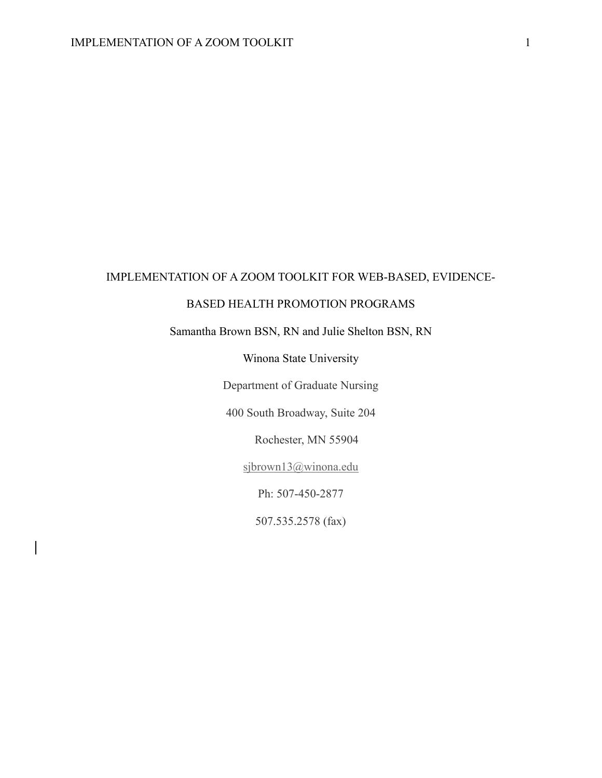# IMPLEMENTATION OF A ZOOM TOOLKIT FOR WEB-BASED, EVIDENCE-

## BASED HEALTH PROMOTION PROGRAMS

# Samantha Brown BSN, RN and Julie Shelton BSN, RN

Winona State University

Department of Graduate Nursing

400 South Broadway, Suite 204

Rochester, MN 55904

[sjbrown13@winona.edu](mailto:sjbrown13@winona.edu)

Ph: 507-450-2877

507.535.2578 (fax)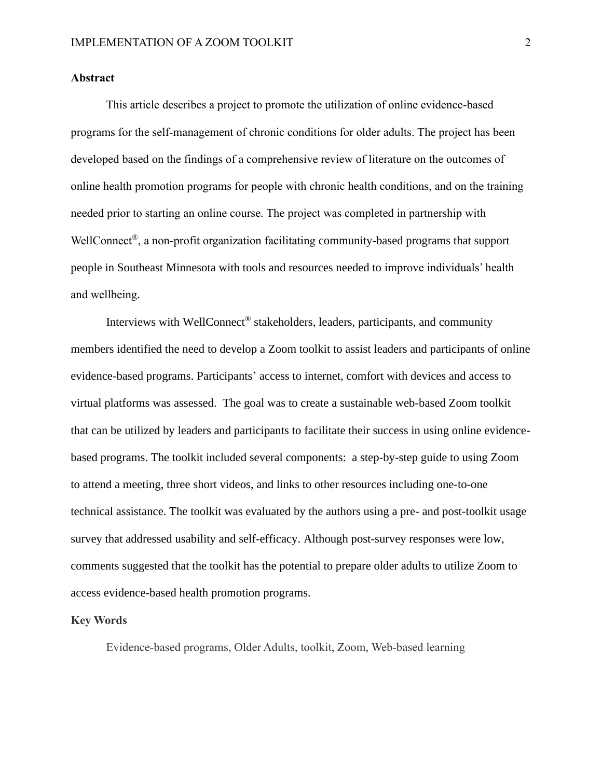### **Abstract**

This article describes a project to promote the utilization of online evidence-based programs for the self-management of chronic conditions for older adults. The project has been developed based on the findings of a comprehensive review of literature on the outcomes of online health promotion programs for people with chronic health conditions, and on the training needed prior to starting an online course. The project was completed in partnership with WellConnect<sup>®</sup>, a non-profit organization facilitating community-based programs that support people in Southeast Minnesota with tools and resources needed to improve individuals' health and wellbeing.

Interviews with WellConnect® stakeholders, leaders, participants, and community members identified the need to develop a Zoom toolkit to assist leaders and participants of online evidence-based programs. Participants' access to internet, comfort with devices and access to virtual platforms was assessed. The goal was to create a sustainable web-based Zoom toolkit that can be utilized by leaders and participants to facilitate their success in using online evidencebased programs. The toolkit included several components: a step-by-step guide to using Zoom to attend a meeting, three short videos, and links to other resources including one-to-one technical assistance. The toolkit was evaluated by the authors using a pre- and post-toolkit usage survey that addressed usability and self-efficacy. Although post-survey responses were low, comments suggested that the toolkit has the potential to prepare older adults to utilize Zoom to access evidence-based health promotion programs.

#### **Key Words**

Evidence-based programs, Older Adults, toolkit, Zoom, Web-based learning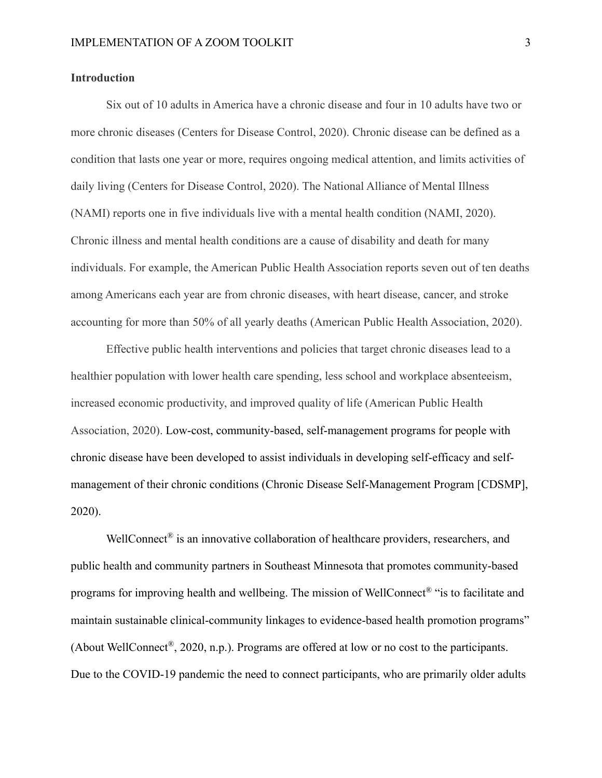#### **Introduction**

Six out of 10 adults in America have a chronic disease and four in 10 adults have two or more chronic diseases (Centers for Disease Control, 2020). Chronic disease can be defined as a condition that lasts one year or more, requires ongoing medical attention, and limits activities of daily living (Centers for Disease Control, 2020). The National Alliance of Mental Illness (NAMI) reports one in five individuals live with a mental health condition (NAMI, 2020). Chronic illness and mental health conditions are a cause of disability and death for many individuals. For example, the American Public Health Association reports seven out of ten deaths among Americans each year are from chronic diseases, with heart disease, cancer, and stroke accounting for more than 50% of all yearly deaths (American Public Health Association, 2020).

Effective public health interventions and policies that target chronic diseases lead to a healthier population with lower health care spending, less school and workplace absenteeism, increased economic productivity, and improved quality of life (American Public Health Association, 2020). Low-cost, community-based, self-management programs for people with chronic disease have been developed to assist individuals in developing self-efficacy and selfmanagement of their chronic conditions (Chronic Disease Self-Management Program [CDSMP], 2020).

WellConnect<sup>®</sup> is an innovative collaboration of healthcare providers, researchers, and public health and community partners in Southeast Minnesota that promotes community-based programs for improving health and wellbeing. The mission of WellConnect® "is to facilitate and maintain sustainable clinical-community linkages to evidence-based health promotion programs" (About WellConnect<sup>®</sup>, 2020, n.p.). Programs are offered at low or no cost to the participants. Due to the COVID-19 pandemic the need to connect participants, who are primarily older adults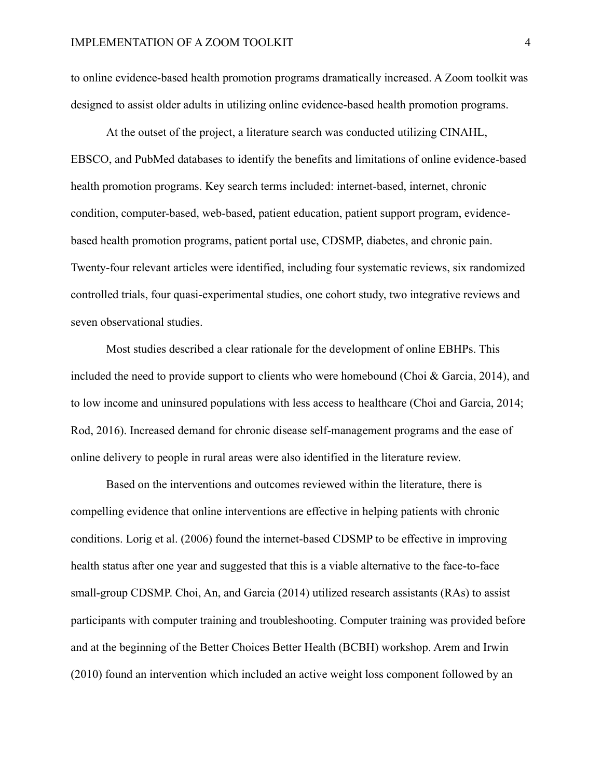to online evidence-based health promotion programs dramatically increased. A Zoom toolkit was designed to assist older adults in utilizing online evidence-based health promotion programs.

At the outset of the project, a literature search was conducted utilizing CINAHL, EBSCO, and PubMed databases to identify the benefits and limitations of online evidence-based health promotion programs. Key search terms included: internet-based, internet, chronic condition, computer-based, web-based, patient education, patient support program, evidencebased health promotion programs, patient portal use, CDSMP, diabetes, and chronic pain. Twenty-four relevant articles were identified, including four systematic reviews, six randomized controlled trials, four quasi-experimental studies, one cohort study, two integrative reviews and seven observational studies.

Most studies described a clear rationale for the development of online EBHPs. This included the need to provide support to clients who were homebound (Choi & Garcia, 2014), and to low income and uninsured populations with less access to healthcare (Choi and Garcia, 2014; Rod, 2016). Increased demand for chronic disease self-management programs and the ease of online delivery to people in rural areas were also identified in the literature review.

Based on the interventions and outcomes reviewed within the literature, there is compelling evidence that online interventions are effective in helping patients with chronic conditions. Lorig et al. (2006) found the internet-based CDSMP to be effective in improving health status after one year and suggested that this is a viable alternative to the face-to-face small-group CDSMP. Choi, An, and Garcia (2014) utilized research assistants (RAs) to assist participants with computer training and troubleshooting. Computer training was provided before and at the beginning of the Better Choices Better Health (BCBH) workshop. Arem and Irwin (2010) found an intervention which included an active weight loss component followed by an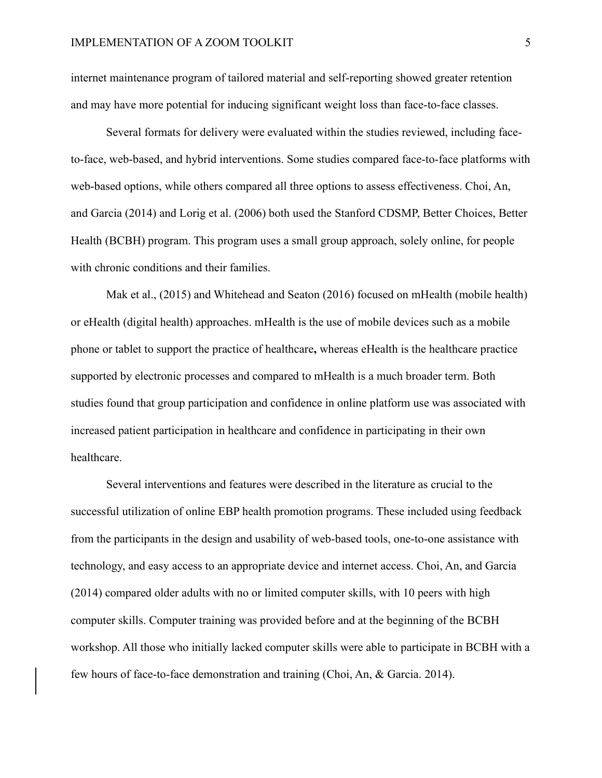internet maintenance program of tailored material and self-reporting showed greater retention and may have more potential for inducing significant weight loss than face-to-face classes.

Several formats for delivery were evaluated within the studies reviewed, including faceto-face, web-based, and hybrid interventions. Some studies compared face-to-face platforms with web-based options, while others compared all three options to assess effectiveness. Choi, An, and Garcia (2014) and Lorig et al. (2006) both used the Stanford CDSMP, Better Choices, Better Health (BCBH) program. This program uses a small group approach, solely online, for people with chronic conditions and their families.

Mak et al., (2015) and Whitehead and Seaton (2016) focused on mHealth (mobile health) or eHealth (digital health) approaches. mHealth is the use of mobile devices such as a mobile phone or tablet to support the practice of healthcare**,** whereas eHealth is the healthcare practice supported by electronic processes and compared to mHealth is a much broader term. Both studies found that group participation and confidence in online platform use was associated with increased patient participation in healthcare and confidence in participating in their own healthcare.

Several interventions and features were described in the literature as crucial to the successful utilization of online EBP health promotion programs. These included using feedback from the participants in the design and usability of web-based tools, one-to-one assistance with technology, and easy access to an appropriate device and internet access. Choi, An, and Garcia (2014) compared older adults with no or limited computer skills, with 10 peers with high computer skills. Computer training was provided before and at the beginning of the BCBH workshop. All those who initially lacked computer skills were able to participate in BCBH with a few hours of face-to-face demonstration and training (Choi, An, & Garcia. 2014).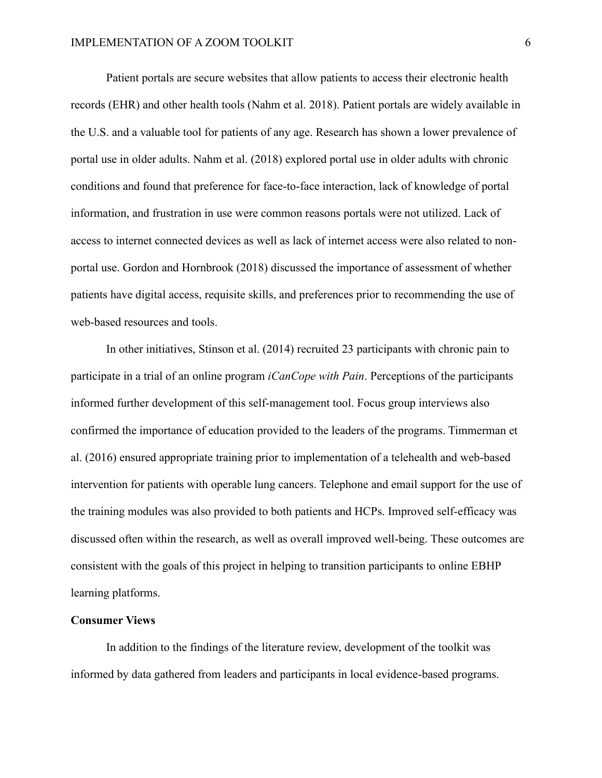Patient portals are secure websites that allow patients to access their electronic health records (EHR) and other health tools (Nahm et al. 2018). Patient portals are widely available in the U.S. and a valuable tool for patients of any age. Research has shown a lower prevalence of portal use in older adults. Nahm et al. (2018) explored portal use in older adults with chronic conditions and found that preference for face-to-face interaction, lack of knowledge of portal information, and frustration in use were common reasons portals were not utilized. Lack of access to internet connected devices as well as lack of internet access were also related to nonportal use. Gordon and Hornbrook (2018) discussed the importance of assessment of whether patients have digital access, requisite skills, and preferences prior to recommending the use of web-based resources and tools.

In other initiatives, Stinson et al. (2014) recruited 23 participants with chronic pain to participate in a trial of an online program *iCanCope with Pain*. Perceptions of the participants informed further development of this self-management tool. Focus group interviews also confirmed the importance of education provided to the leaders of the programs. Timmerman et al. (2016) ensured appropriate training prior to implementation of a telehealth and web-based intervention for patients with operable lung cancers. Telephone and email support for the use of the training modules was also provided to both patients and HCPs. Improved self-efficacy was discussed often within the research, as well as overall improved well-being. These outcomes are consistent with the goals of this project in helping to transition participants to online EBHP learning platforms.

#### **Consumer Views**

In addition to the findings of the literature review, development of the toolkit was informed by data gathered from leaders and participants in local evidence-based programs.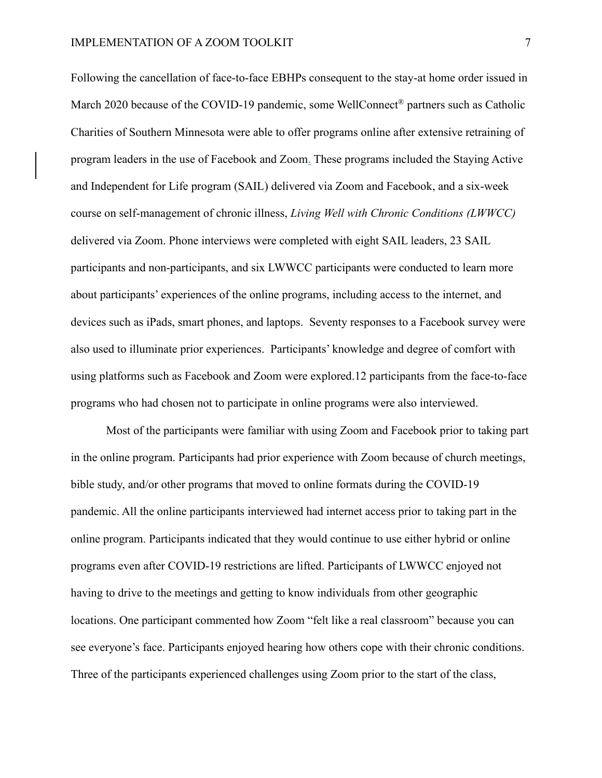Following the cancellation of face-to-face EBHPs consequent to the stay-at home order issued in March 2020 because of the COVID-19 pandemic, some WellConnect<sup>®</sup> partners such as Catholic Charities of Southern Minnesota were able to offer programs online after extensive retraining of program leaders in the use of Facebook and Zoom. These programs included the Staying Active and Independent for Life program (SAIL) delivered via Zoom and Facebook, and a six-week course on self-management of chronic illness, *Living Well with Chronic Conditions (LWWCC)* delivered via Zoom. Phone interviews were completed with eight SAIL leaders, 23 SAIL participants and non-participants, and six LWWCC participants were conducted to learn more about participants' experiences of the online programs, including access to the internet, and devices such as iPads, smart phones, and laptops. Seventy responses to a Facebook survey were also used to illuminate prior experiences. Participants' knowledge and degree of comfort with using platforms such as Facebook and Zoom were explored.12 participants from the face-to-face programs who had chosen not to participate in online programs were also interviewed.

Most of the participants were familiar with using Zoom and Facebook prior to taking part in the online program. Participants had prior experience with Zoom because of church meetings, bible study, and/or other programs that moved to online formats during the COVID-19 pandemic. All the online participants interviewed had internet access prior to taking part in the online program. Participants indicated that they would continue to use either hybrid or online programs even after COVID-19 restrictions are lifted. Participants of LWWCC enjoyed not having to drive to the meetings and getting to know individuals from other geographic locations. One participant commented how Zoom "felt like a real classroom" because you can see everyone's face. Participants enjoyed hearing how others cope with their chronic conditions. Three of the participants experienced challenges using Zoom prior to the start of the class,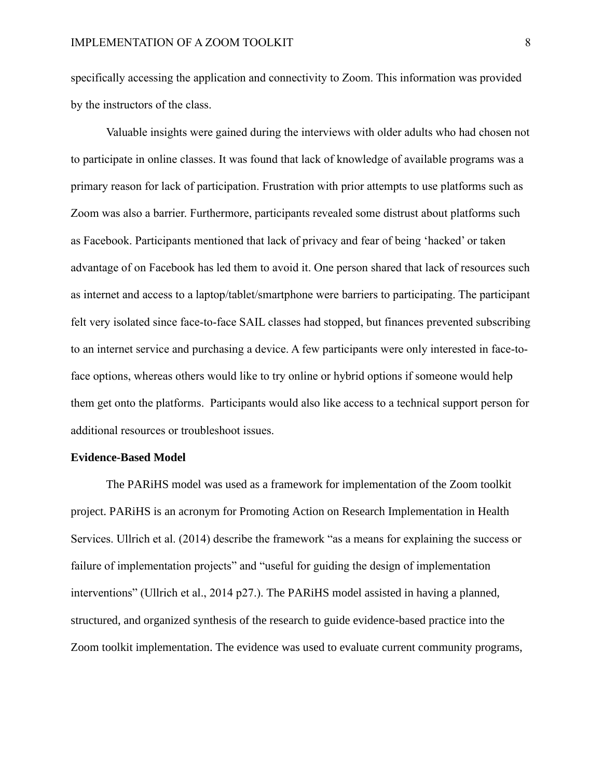specifically accessing the application and connectivity to Zoom. This information was provided by the instructors of the class.

Valuable insights were gained during the interviews with older adults who had chosen not to participate in online classes. It was found that lack of knowledge of available programs was a primary reason for lack of participation. Frustration with prior attempts to use platforms such as Zoom was also a barrier. Furthermore, participants revealed some distrust about platforms such as Facebook. Participants mentioned that lack of privacy and fear of being 'hacked' or taken advantage of on Facebook has led them to avoid it. One person shared that lack of resources such as internet and access to a laptop/tablet/smartphone were barriers to participating. The participant felt very isolated since face-to-face SAIL classes had stopped, but finances prevented subscribing to an internet service and purchasing a device. A few participants were only interested in face-toface options, whereas others would like to try online or hybrid options if someone would help them get onto the platforms. Participants would also like access to a technical support person for additional resources or troubleshoot issues.

#### **Evidence-Based Model**

The PARiHS model was used as a framework for implementation of the Zoom toolkit project. PARiHS is an acronym for Promoting Action on Research Implementation in Health Services. Ullrich et al. (2014) describe the framework "as a means for explaining the success or failure of implementation projects" and "useful for guiding the design of implementation interventions" (Ullrich et al., 2014 p27.). The PARiHS model assisted in having a planned, structured, and organized synthesis of the research to guide evidence-based practice into the Zoom toolkit implementation. The evidence was used to evaluate current community programs,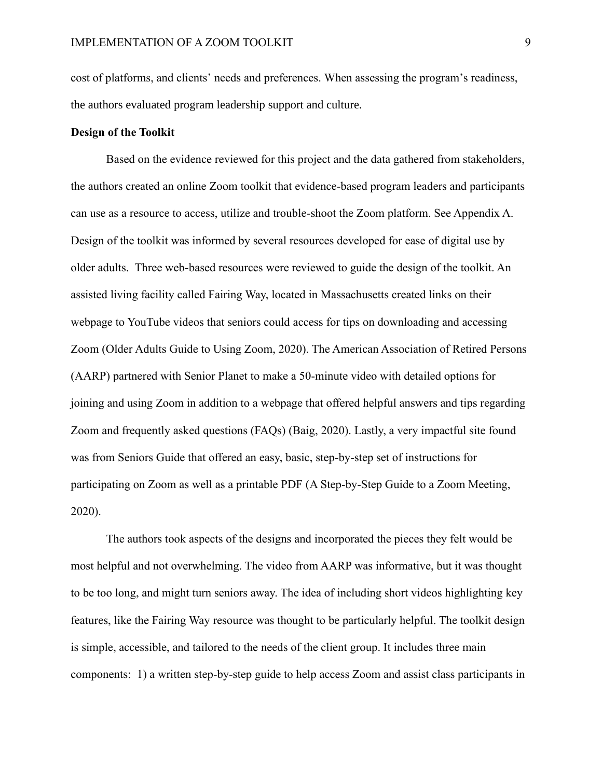cost of platforms, and clients' needs and preferences. When assessing the program's readiness, the authors evaluated program leadership support and culture.

#### **Design of the Toolkit**

Based on the evidence reviewed for this project and the data gathered from stakeholders, the authors created an online Zoom toolkit that evidence-based program leaders and participants can use as a resource to access, utilize and trouble-shoot the Zoom platform. See Appendix A. Design of the toolkit was informed by several resources developed for ease of digital use by older adults. Three web-based resources were reviewed to guide the design of the toolkit. An assisted living facility called Fairing Way, located in Massachusetts created links on their webpage to YouTube videos that seniors could access for tips on downloading and accessing Zoom (Older Adults Guide to Using Zoom, 2020). The American Association of Retired Persons (AARP) partnered with Senior Planet to make a 50-minute video with detailed options for joining and using Zoom in addition to a webpage that offered helpful answers and tips regarding Zoom and frequently asked questions (FAQs) (Baig, 2020). Lastly, a very impactful site found was from Seniors Guide that offered an easy, basic, step-by-step set of instructions for participating on Zoom as well as a printable PDF (A Step-by-Step Guide to a Zoom Meeting, 2020).

The authors took aspects of the designs and incorporated the pieces they felt would be most helpful and not overwhelming. The video from AARP was informative, but it was thought to be too long, and might turn seniors away. The idea of including short videos highlighting key features, like the Fairing Way resource was thought to be particularly helpful. The toolkit design is simple, accessible, and tailored to the needs of the client group. It includes three main components: 1) a written step-by-step guide to help access Zoom and assist class participants in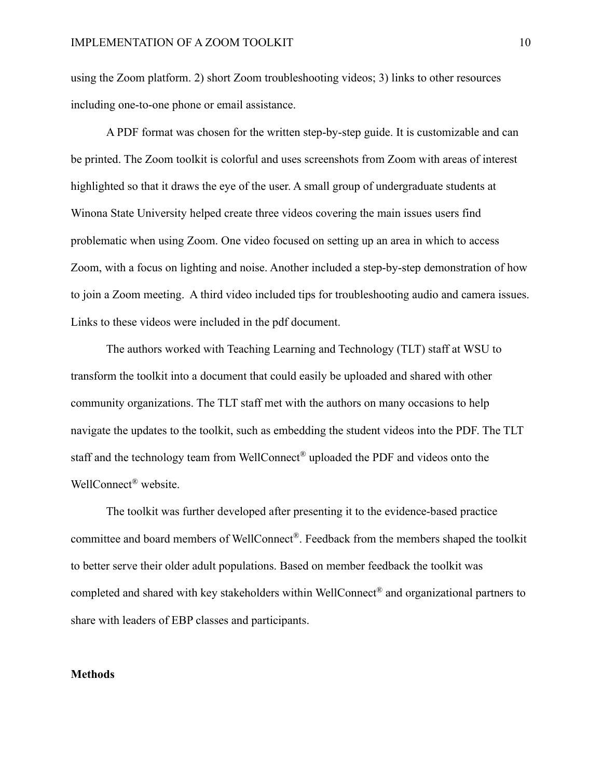using the Zoom platform. 2) short Zoom troubleshooting videos; 3) links to other resources including one-to-one phone or email assistance.

A PDF format was chosen for the written step-by-step guide. It is customizable and can be printed. The Zoom toolkit is colorful and uses screenshots from Zoom with areas of interest highlighted so that it draws the eye of the user. A small group of undergraduate students at Winona State University helped create three videos covering the main issues users find problematic when using Zoom. One video focused on setting up an area in which to access Zoom, with a focus on lighting and noise. Another included a step-by-step demonstration of how to join a Zoom meeting. A third video included tips for troubleshooting audio and camera issues. Links to these videos were included in the pdf document.

The authors worked with Teaching Learning and Technology (TLT) staff at WSU to transform the toolkit into a document that could easily be uploaded and shared with other community organizations. The TLT staff met with the authors on many occasions to help navigate the updates to the toolkit, such as embedding the student videos into the PDF. The TLT staff and the technology team from WellConnect® uploaded the PDF and videos onto the WellConnect® website.

The toolkit was further developed after presenting it to the evidence-based practice committee and board members of WellConnect®. Feedback from the members shaped the toolkit to better serve their older adult populations. Based on member feedback the toolkit was completed and shared with key stakeholders within WellConnect® and organizational partners to share with leaders of EBP classes and participants.

#### **Methods**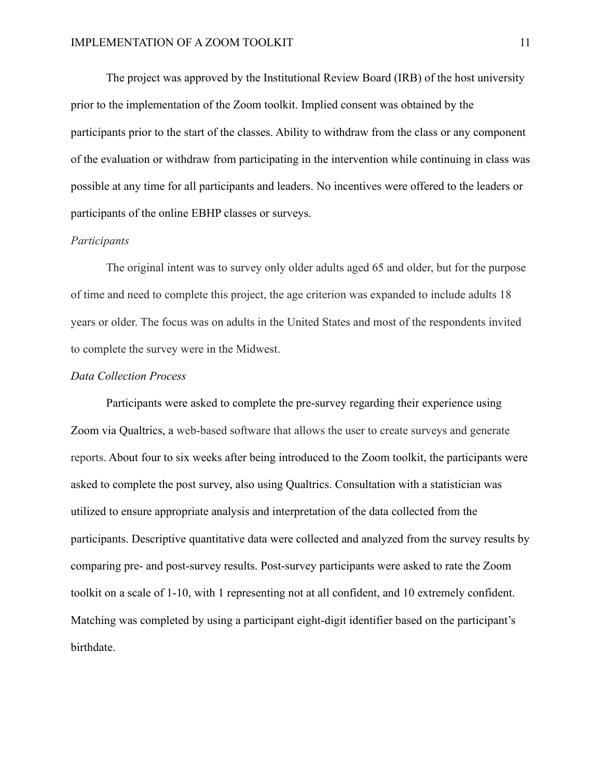The project was approved by the Institutional Review Board (IRB) of the host university prior to the implementation of the Zoom toolkit. Implied consent was obtained by the participants prior to the start of the classes. Ability to withdraw from the class or any component of the evaluation or withdraw from participating in the intervention while continuing in class was possible at any time for all participants and leaders. No incentives were offered to the leaders or participants of the online EBHP classes or surveys.

#### *Participants*

The original intent was to survey only older adults aged 65 and older, but for the purpose of time and need to complete this project, the age criterion was expanded to include adults 18 years or older. The focus was on adults in the United States and most of the respondents invited to complete the survey were in the Midwest.

#### *Data Collection Process*

Participants were asked to complete the pre-survey regarding their experience using Zoom via Qualtrics, a web-based software that allows the user to create surveys and generate reports. About four to six weeks after being introduced to the Zoom toolkit, the participants were asked to complete the post survey, also using Qualtrics. Consultation with a statistician was utilized to ensure appropriate analysis and interpretation of the data collected from the participants. Descriptive quantitative data were collected and analyzed from the survey results by comparing pre- and post-survey results. Post-survey participants were asked to rate the Zoom toolkit on a scale of 1-10, with 1 representing not at all confident, and 10 extremely confident. Matching was completed by using a participant eight-digit identifier based on the participant's birthdate.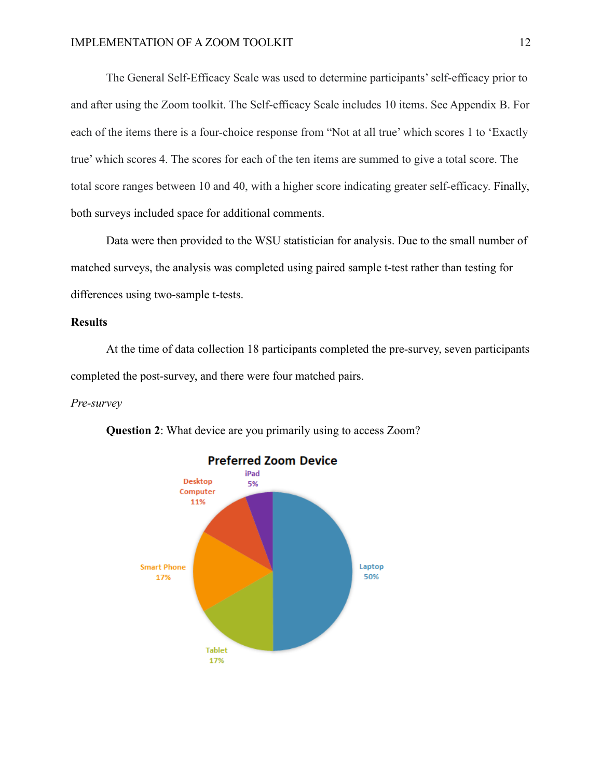The General Self-Efficacy Scale was used to determine participants' self-efficacy prior to and after using the Zoom toolkit. The Self-efficacy Scale includes 10 items. See Appendix B. For each of the items there is a four-choice response from "Not at all true' which scores 1 to 'Exactly true' which scores 4. The scores for each of the ten items are summed to give a total score. The total score ranges between 10 and 40, with a higher score indicating greater self-efficacy. Finally, both surveys included space for additional comments.

Data were then provided to the WSU statistician for analysis. Due to the small number of matched surveys, the analysis was completed using paired sample t-test rather than testing for differences using two-sample t-tests.

## **Results**

At the time of data collection 18 participants completed the pre-survey, seven participants completed the post-survey, and there were four matched pairs.

#### *Pre-survey*



**Question 2**: What device are you primarily using to access Zoom?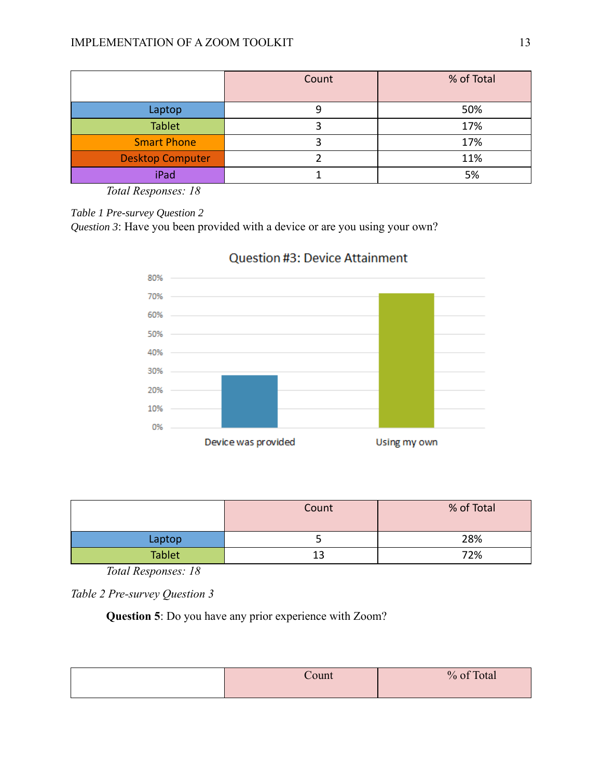|                         | Count | % of Total |
|-------------------------|-------|------------|
| Laptop                  |       | 50%        |
| <b>Tablet</b>           |       | 17%        |
| <b>Smart Phone</b>      |       | 17%        |
| <b>Desktop Computer</b> |       | 11%        |
| iPad                    |       | 5%         |

*Table 1 Pre-survey Question 2*

*Question 3*: Have you been provided with a device or are you using your own?



# Question #3: Device Attainment

|               | % of Total<br>Count |     |
|---------------|---------------------|-----|
| Laptop        |                     | 28% |
| <b>Tablet</b> | 13                  | 72% |

*Total Responses: 18*

*Table 2 Pre-survey Question 3*

**Question 5**: Do you have any prior experience with Zoom?

| ount | % of Total<br>utal |
|------|--------------------|
|      |                    |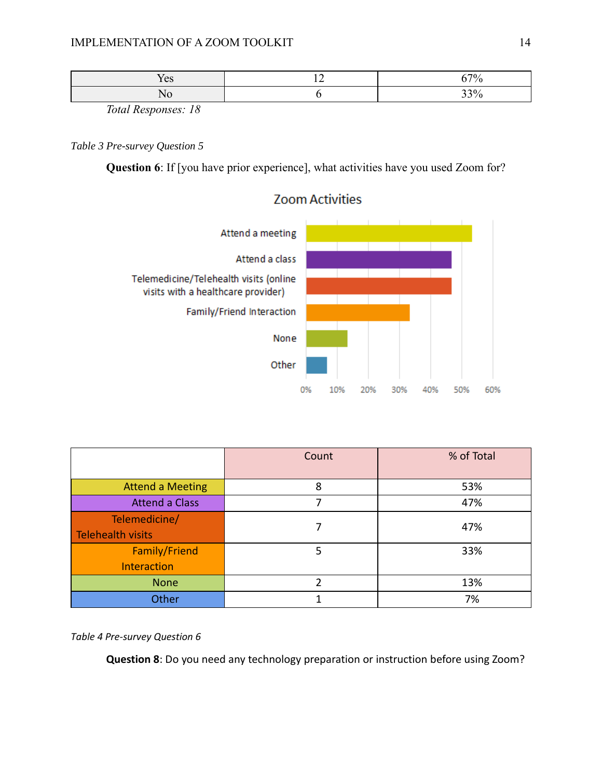| ັບ |  |  |
|----|--|--|
|    |  |  |

## *Table 3 Pre-survey Question 5*

**Question 6**: If [you have prior experience], what activities have you used Zoom for?



# **Zoom Activities**

|                         | Count | % of Total |  |  |
|-------------------------|-------|------------|--|--|
|                         |       |            |  |  |
| <b>Attend a Meeting</b> | 8     | 53%        |  |  |
| <b>Attend a Class</b>   | 7     | 47%        |  |  |
| Telemedicine/           |       | 47%        |  |  |
| Telehealth visits       |       |            |  |  |
| Family/Friend           | 5     | 33%        |  |  |
| Interaction             |       |            |  |  |
| <b>None</b>             | 2     | 13%        |  |  |
| Other                   |       | 7%         |  |  |

### *Table 4 Pre-survey Question 6*

**Question 8**: Do you need any technology preparation or instruction before using Zoom?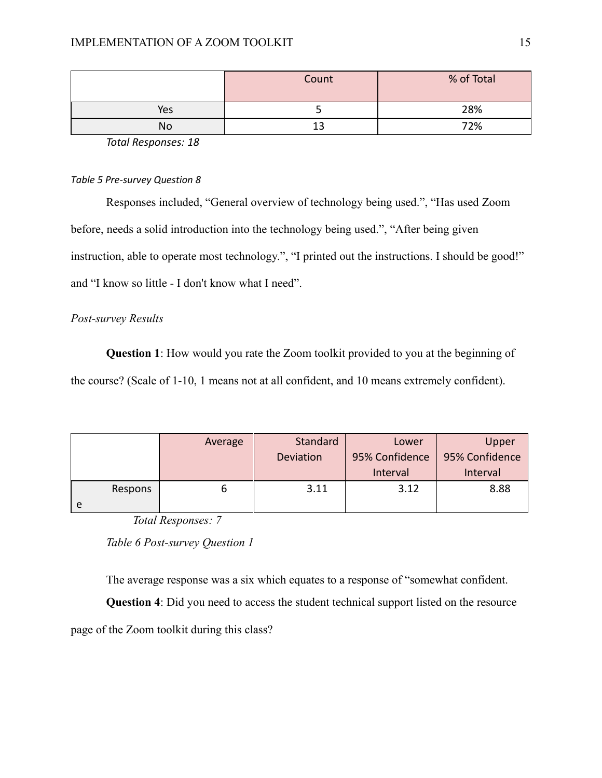|     | Count | % of Total |
|-----|-------|------------|
| Yes |       | 28%        |
| No  | 13    | 72%        |

### *Table 5 Pre-survey Question 8*

Responses included, "General overview of technology being used.", "Has used Zoom before, needs a solid introduction into the technology being used.", "After being given instruction, able to operate most technology.", "I printed out the instructions. I should be good!" and "I know so little - I don't know what I need".

### *Post-survey Results*

**Question 1**: How would you rate the Zoom toolkit provided to you at the beginning of the course? (Scale of 1-10, 1 means not at all confident, and 10 means extremely confident).

|         | Average | Standard  | Lower                            | Upper    |
|---------|---------|-----------|----------------------------------|----------|
|         |         | Deviation | 95% Confidence<br>95% Confidence |          |
|         |         |           | Interval                         | Interval |
| Respons |         | 3.11      | 3.12                             | 8.88     |
| e       |         |           |                                  |          |

*Total Responses: 7*

*Table 6 Post-survey Question 1*

The average response was a six which equates to a response of "somewhat confident.

**Question 4**: Did you need to access the student technical support listed on the resource

page of the Zoom toolkit during this class?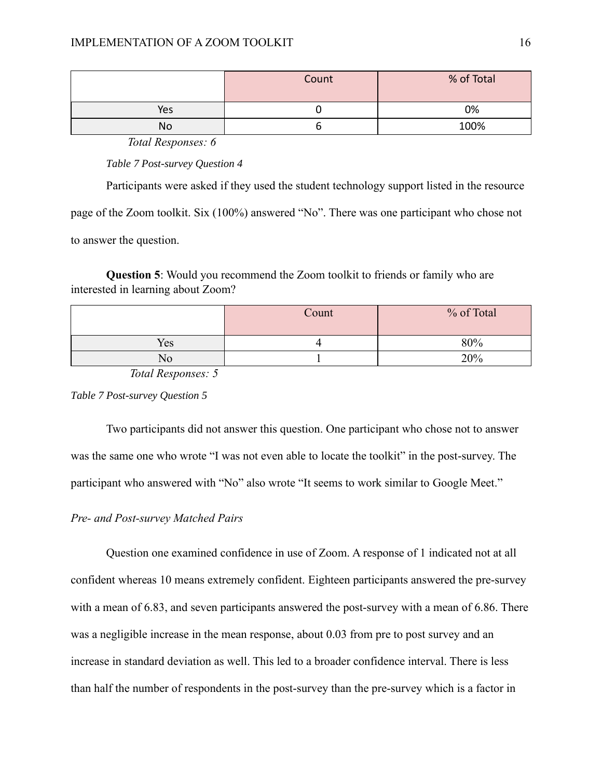|     | % of Total<br>Count |      |
|-----|---------------------|------|
| Yes |                     | 0%   |
| No  |                     | 100% |

*Table 7 Post-survey Question 4*

Participants were asked if they used the student technology support listed in the resource

page of the Zoom toolkit. Six (100%) answered "No". There was one participant who chose not

to answer the question.

**Question 5**: Would you recommend the Zoom toolkit to friends or family who are interested in learning about Zoom?

|     | Count | % of Total |
|-----|-------|------------|
| Yes |       | 80%        |
| No  |       | 20%        |

*Total Responses: 5*

*Table 7 Post-survey Question 5*

Two participants did not answer this question. One participant who chose not to answer was the same one who wrote "I was not even able to locate the toolkit" in the post-survey. The participant who answered with "No" also wrote "It seems to work similar to Google Meet."

### *Pre- and Post-survey Matched Pairs*

Question one examined confidence in use of Zoom. A response of 1 indicated not at all confident whereas 10 means extremely confident. Eighteen participants answered the pre-survey with a mean of 6.83, and seven participants answered the post-survey with a mean of 6.86. There was a negligible increase in the mean response, about 0.03 from pre to post survey and an increase in standard deviation as well. This led to a broader confidence interval. There is less than half the number of respondents in the post-survey than the pre-survey which is a factor in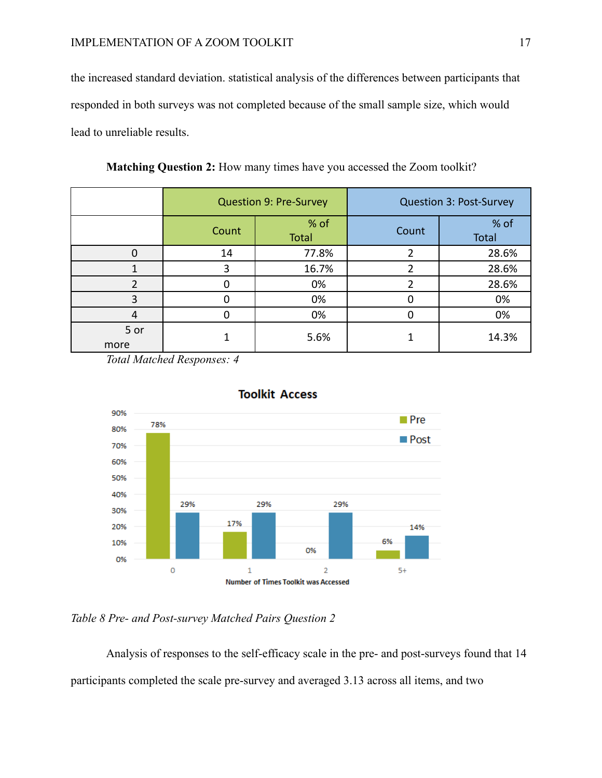the increased standard deviation. statistical analysis of the differences between participants that responded in both surveys was not completed because of the small sample size, which would lead to unreliable results.

|              | <b>Question 9: Pre-Survey</b> |               | <b>Question 3: Post-Survey</b> |               |  |
|--------------|-------------------------------|---------------|--------------------------------|---------------|--|
|              | Count                         | % of<br>Total | Count                          | % of<br>Total |  |
|              | 14                            | 77.8%         |                                | 28.6%         |  |
|              | 3                             | 16.7%         | า                              | 28.6%         |  |
|              |                               | 0%            |                                | 28.6%         |  |
| 3            |                               | 0%            |                                | 0%            |  |
| 4            |                               | 0%            |                                | 0%            |  |
| 5 or<br>more |                               | 5.6%          |                                | 14.3%         |  |

**Matching Question 2:** How many times have you accessed the Zoom toolkit?

*Total Matched Responses: 4*



### **Toolkit Access**

## *Table 8 Pre- and Post-survey Matched Pairs Question 2*

Analysis of responses to the self-efficacy scale in the pre- and post-surveys found that 14 participants completed the scale pre-survey and averaged 3.13 across all items, and two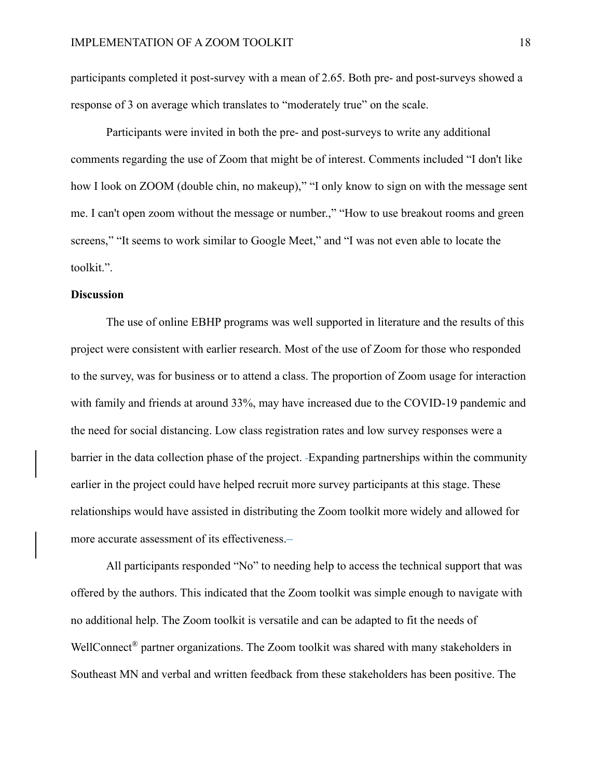participants completed it post-survey with a mean of 2.65. Both pre- and post-surveys showed a response of 3 on average which translates to "moderately true" on the scale.

Participants were invited in both the pre- and post-surveys to write any additional comments regarding the use of Zoom that might be of interest. Comments included "I don't like how I look on ZOOM (double chin, no makeup)," "I only know to sign on with the message sent me. I can't open zoom without the message or number.," "How to use breakout rooms and green screens," "It seems to work similar to Google Meet," and "I was not even able to locate the toolkit.".

#### **Discussion**

The use of online EBHP programs was well supported in literature and the results of this project were consistent with earlier research. Most of the use of Zoom for those who responded to the survey, was for business or to attend a class. The proportion of Zoom usage for interaction with family and friends at around 33%, may have increased due to the COVID-19 pandemic and the need for social distancing. Low class registration rates and low survey responses were a barrier in the data collection phase of the project. Expanding partnerships within the community earlier in the project could have helped recruit more survey participants at this stage. These relationships would have assisted in distributing the Zoom toolkit more widely and allowed for more accurate assessment of its effectiveness.

All participants responded "No" to needing help to access the technical support that was offered by the authors. This indicated that the Zoom toolkit was simple enough to navigate with no additional help. The Zoom toolkit is versatile and can be adapted to fit the needs of WellConnect<sup>®</sup> partner organizations. The Zoom toolkit was shared with many stakeholders in Southeast MN and verbal and written feedback from these stakeholders has been positive. The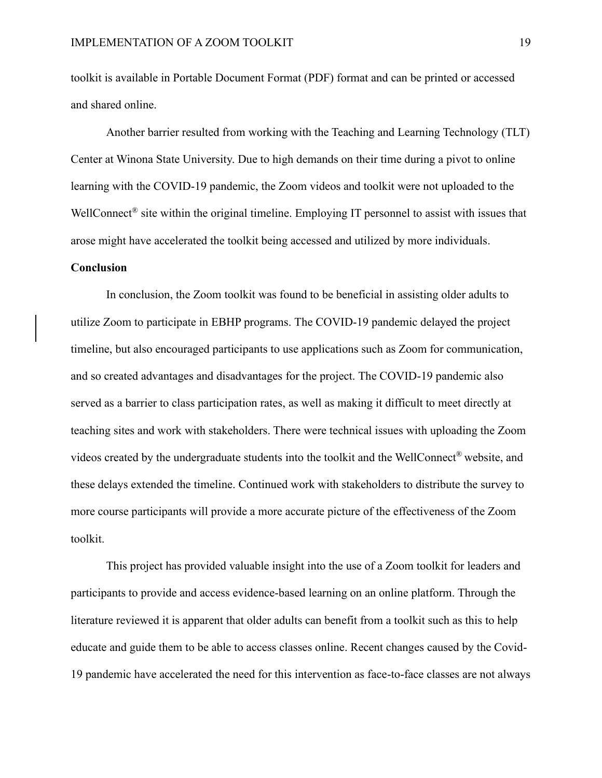toolkit is available in Portable Document Format (PDF) format and can be printed or accessed and shared online.

Another barrier resulted from working with the Teaching and Learning Technology (TLT) Center at Winona State University. Due to high demands on their time during a pivot to online learning with the COVID-19 pandemic, the Zoom videos and toolkit were not uploaded to the WellConnect<sup>®</sup> site within the original timeline. Employing IT personnel to assist with issues that arose might have accelerated the toolkit being accessed and utilized by more individuals.

### **Conclusion**

In conclusion, the Zoom toolkit was found to be beneficial in assisting older adults to utilize Zoom to participate in EBHP programs. The COVID-19 pandemic delayed the project timeline, but also encouraged participants to use applications such as Zoom for communication, and so created advantages and disadvantages for the project. The COVID-19 pandemic also served as a barrier to class participation rates, as well as making it difficult to meet directly at teaching sites and work with stakeholders. There were technical issues with uploading the Zoom videos created by the undergraduate students into the toolkit and the WellConnect® website, and these delays extended the timeline. Continued work with stakeholders to distribute the survey to more course participants will provide a more accurate picture of the effectiveness of the Zoom toolkit.

This project has provided valuable insight into the use of a Zoom toolkit for leaders and participants to provide and access evidence-based learning on an online platform. Through the literature reviewed it is apparent that older adults can benefit from a toolkit such as this to help educate and guide them to be able to access classes online. Recent changes caused by the Covid-19 pandemic have accelerated the need for this intervention as face-to-face classes are not always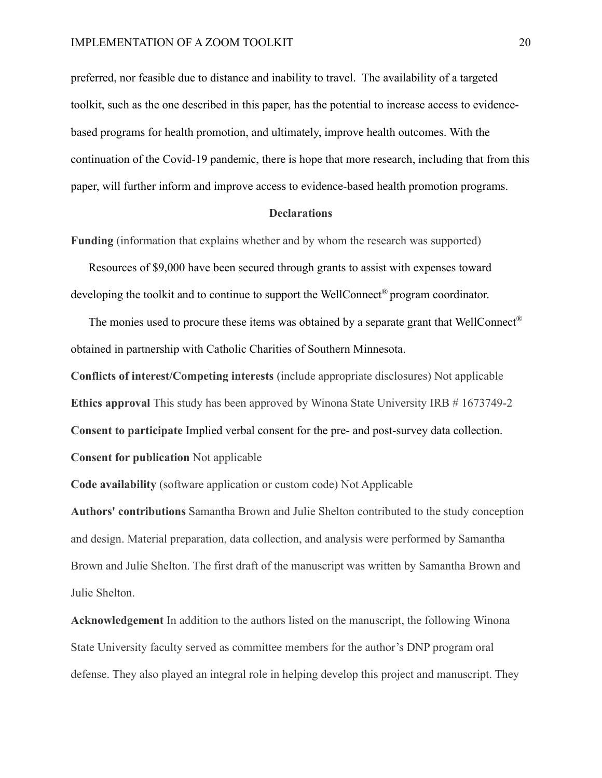preferred, nor feasible due to distance and inability to travel. The availability of a targeted toolkit, such as the one described in this paper, has the potential to increase access to evidencebased programs for health promotion, and ultimately, improve health outcomes. With the continuation of the Covid-19 pandemic, there is hope that more research, including that from this paper, will further inform and improve access to evidence-based health promotion programs.

#### **Declarations**

**Funding** (information that explains whether and by whom the research was supported)

Resources of \$9,000 have been secured through grants to assist with expenses toward developing the toolkit and to continue to support the WellConnect<sup>®</sup> program coordinator.

The monies used to procure these items was obtained by a separate grant that WellConnect® obtained in partnership with Catholic Charities of Southern Minnesota.

**Conflicts of interest/Competing interests** (include appropriate disclosures) Not applicable **Ethics approval** This study has been approved by Winona State University IRB # 1673749-2 **Consent to participate** Implied verbal consent for the pre- and post-survey data collection. **Consent for publication** Not applicable

**Code availability** (software application or custom code) Not Applicable

**Authors' contributions** Samantha Brown and Julie Shelton contributed to the study conception and design. Material preparation, data collection, and analysis were performed by Samantha Brown and Julie Shelton. The first draft of the manuscript was written by Samantha Brown and Julie Shelton.

**Acknowledgement** In addition to the authors listed on the manuscript, the following Winona State University faculty served as committee members for the author's DNP program oral defense. They also played an integral role in helping develop this project and manuscript. They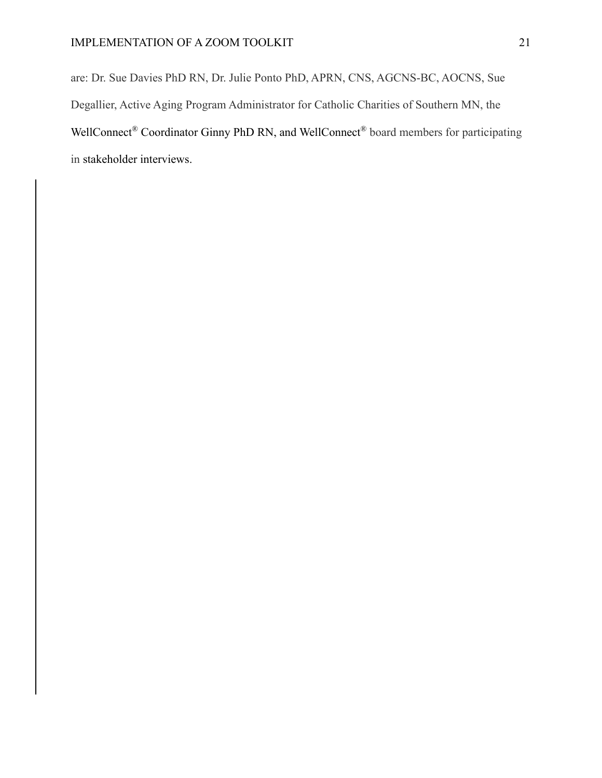are: Dr. Sue Davies PhD RN, Dr. Julie Ponto PhD, APRN, CNS, AGCNS-BC, AOCNS, Sue Degallier, Active Aging Program Administrator for Catholic Charities of Southern MN, the WellConnect® Coordinator Ginny PhD RN, and WellConnect® board members for participating in stakeholder interviews.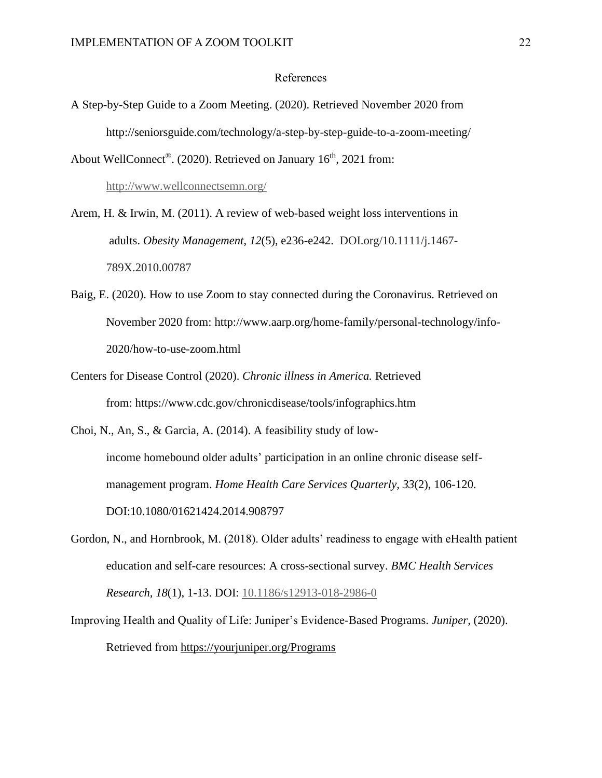#### References

A Step-by-Step Guide to a Zoom Meeting. (2020). Retrieved November 2020 from http://seniorsguide.com/technology/a-step-by-step-guide-to-a-zoom-meeting/

About WellConnect<sup>®</sup>. (2020). Retrieved on January  $16<sup>th</sup>$ , 2021 from:

<http://www.wellconnectsemn.org/>

Arem, H. & Irwin, M. (2011). A review of web-based weight loss interventions in adults. *Obesity Management*, *12*(5), e236-e242. DOI.org/10.1111/j.1467- 789X.2010.00787

- Baig, E. (2020). How to use Zoom to stay connected during the Coronavirus. Retrieved on November 2020 from: http://www.aarp.org/home-family/personal-technology/info-2020/how-to-use-zoom.html
- Centers for Disease Control (2020). *Chronic illness in America.* Retrieved from: https://www.cdc.gov/chronicdisease/tools/infographics.htm

Choi, N., An, S., & Garcia, A. (2014). A feasibility study of low-

income homebound older adults' participation in an online chronic disease selfmanagement program. *Home Health Care Services Quarterly, 33*(2), 106-120. DOI:10.1080/01621424.2014.908797

- Gordon, N., and Hornbrook, M. (2018). Older adults' readiness to engage with eHealth patient education and self-care resources: A cross-sectional survey. *BMC Health Services Research, 18*(1), 1-13. DOI: [10.1186/s12913-018-2986-0](https://doi.org/10.1186/s12913-018-2986-0)
- Improving Health and Quality of Life: Juniper's Evidence-Based Programs. *Juniper,* (2020). Retrieved from<https://yourjuniper.org/Programs>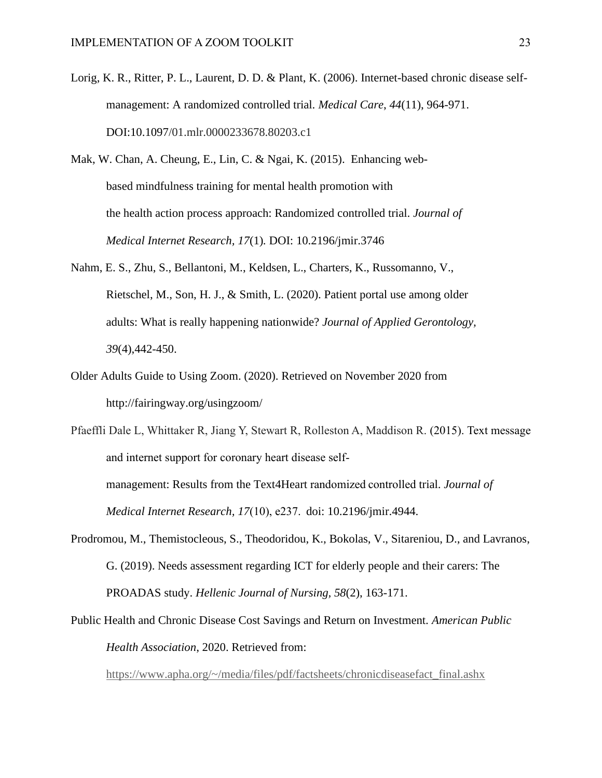- Lorig, K. R., Ritter, P. L., Laurent, D. D. & Plant, K. (2006). Internet-based chronic disease selfmanagement: A randomized controlled trial. *Medical Care*, *44*(11), 964-971. DOI:10.1097/01.mlr.0000233678.80203.c1
- Mak, W. Chan, A. Cheung, E., Lin, C. & Ngai, K. (2015). Enhancing webbased mindfulness training for mental health promotion with the health action process approach: Randomized controlled trial. *Journal of Medical Internet Research, 17*(1)*.* DOI: 10.2196/jmir.3746
- Nahm, E. S., Zhu, S., Bellantoni, M., Keldsen, L., Charters, K., Russomanno, V., Rietschel, M., Son, H. J., & Smith, L. (2020). Patient portal use among older adults: What is really happening nationwide? *Journal of Applied Gerontology, 39*(4),442-450.
- Older Adults Guide to Using Zoom. (2020). Retrieved on November 2020 from http://fairingway.org/usingzoom/

Pfaeffli Dale L, Whittaker R, Jiang Y, Stewart R, Rolleston A, Maddison R. (2015). Text message and internet support for coronary heart disease selfmanagement: Results from the Text4Heart randomized controlled trial. *Journal of Medical Internet Research, 17*(10), e237.  doi: 10.2196/jmir.4944.

- Prodromou, M., Themistocleous, S., Theodoridou, K., Bokolas, V., Sitareniou, D., and Lavranos, G. (2019). Needs assessment regarding ICT for elderly people and their carers: The PROADAS study. *Hellenic Journal of Nursing, 58*(2), 163-171.
- Public Health and Chronic Disease Cost Savings and Return on Investment. *American Public Health Association*, 2020. Retrieved from:

[https://www.apha.org/~/media/files/pdf/factsheets/chronicdiseasefact\\_final.ashx](https://www.apha.org/~/media/files/pdf/factsheets/chronicdiseasefact_final.ashx)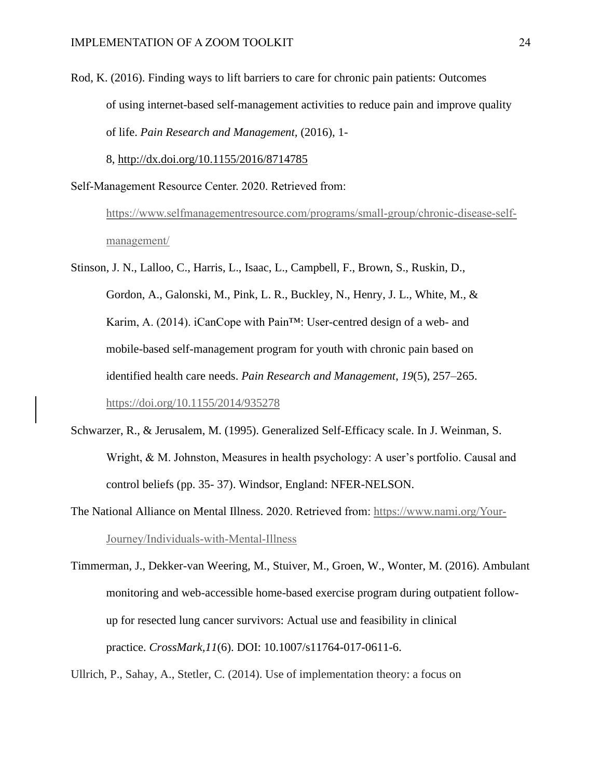Rod, K. (2016). Finding ways to lift barriers to care for chronic pain patients: Outcomes of using internet-based self-management activities to reduce pain and improve quality of life. *Pain Research and Management,* (2016), 1-

8, <http://dx.doi.org/10.1155/2016/8714785>

Self-Management Resource Center. 2020. Retrieved from:

[https://www.selfmanagementresource.com/programs/small-group/chronic-disease-self](https://www.selfmanagementresource.com/programs/small-group/chronic-disease-self-management/)[management/](https://www.selfmanagementresource.com/programs/small-group/chronic-disease-self-management/)

Stinson, J. N., Lalloo, C., Harris, L., Isaac, L., Campbell, F., Brown, S., Ruskin, D., Gordon, A., Galonski, M., Pink, L. R., Buckley, N., Henry, J. L., White, M., & Karim, A. (2014). iCanCope with Pain™: User-centred design of a web- and mobile-based self-management program for youth with chronic pain based on identified health care needs. *Pain Research and Management*, *19*(5), 257–265. <https://doi.org/10.1155/2014/935278>

- Schwarzer, R., & Jerusalem, M. (1995). Generalized Self-Efficacy scale. In J. Weinman, S. Wright, & M. Johnston, Measures in health psychology: A user's portfolio. Causal and control beliefs (pp. 35- 37). Windsor, England: NFER-NELSON.
- The National Alliance on Mental Illness. 2020. Retrieved from: [https://www.nami.org/Your-](https://www.nami.org/Your-Journey/Individuals-with-Mental-Illness)[Journey/Individuals-with-Mental-Illness](https://www.nami.org/Your-Journey/Individuals-with-Mental-Illness)

Ullrich, P., Sahay, A., Stetler, C. (2014). Use of implementation theory: a focus on

Timmerman, J., Dekker-van Weering, M., Stuiver, M., Groen, W., Wonter, M. (2016). Ambulant monitoring and web-accessible home-based exercise program during outpatient followup for resected lung cancer survivors: Actual use and feasibility in clinical practice. *CrossMark,11*(6). DOI: 10.1007/s11764-017-0611-6.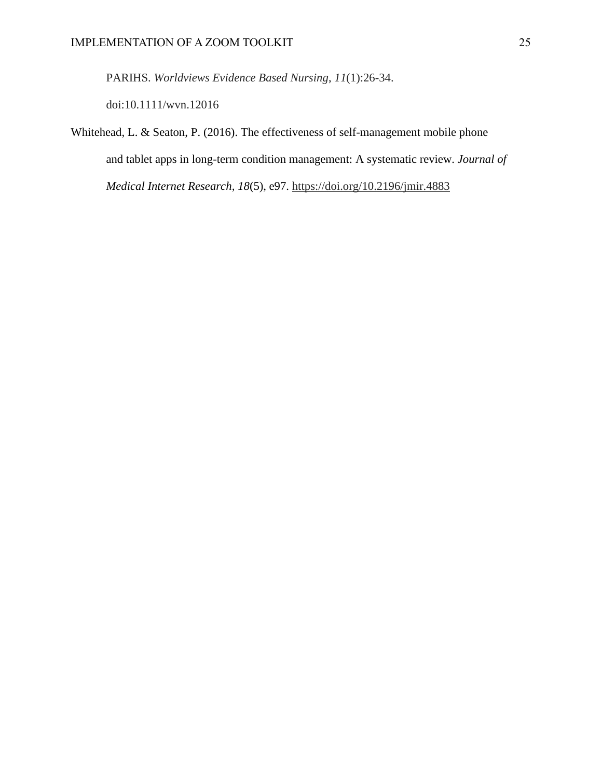PARIHS. *Worldviews Evidence Based Nursing*, *11*(1):26-34.

doi:10.1111/wvn.12016

Whitehead, L. & Seaton, P. (2016). The effectiveness of self-management mobile phone and tablet apps in long-term condition management: A systematic review. *Journal of Medical Internet Research, 18*(5), e97.<https://doi.org/10.2196/jmir.4883>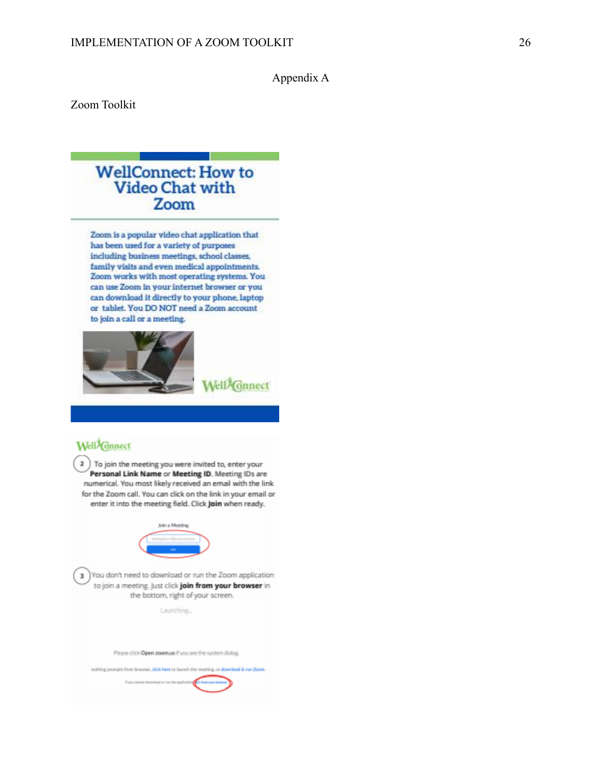## Appendix A

Zoom Toolkit

# **WellConnect: How to Video Chat with** Zoom

Zoom is a popular video chat application that has been used for a variety of purposes including business meetings, school classes, family visits and even medical appointments. Zoom works with most operating systems. You can use Zoom in your internet browser or you can download it directly to your phone, laptop or tablet. You DO NOT need a Zoom account to join a call or a meeting.



# Well<sup>2</sup>Gnnect

2 ) To join the meeting you were invited to, enter your Personal Link Name or Meeting ID. Meeting IDs are numerical. You most likely received an email with the link for the Zoom call. You can click on the link in your email or enter it into the meeting field. Click Join when ready.



3 You don't need to download or run the Zoom application to join a meeting, just click join from your browser in the bottom, right of your screen.

Launching...

Please click Open zoomus if you see the system dialog.

nothing prompts from browser, click here to bunch the meeting, or download & run Zoom.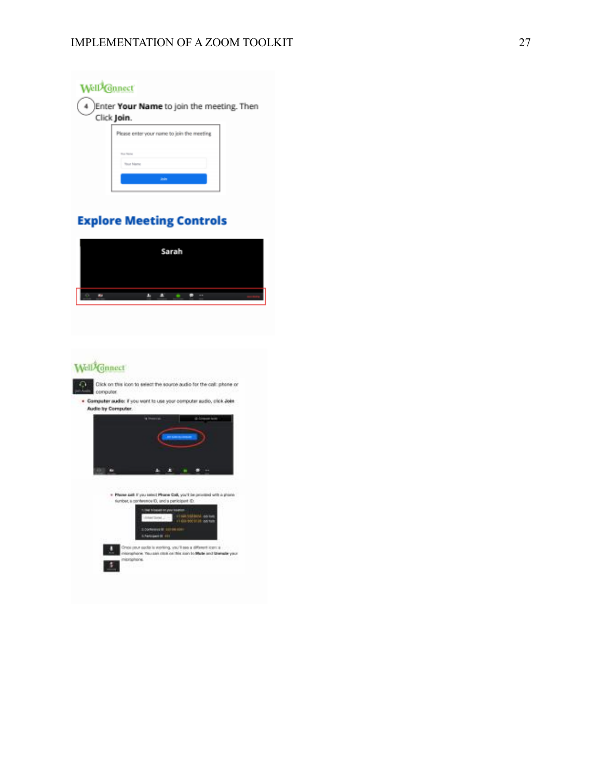

# **Explore Meeting Controls**



# Well<sup>i</sup>Gnnect

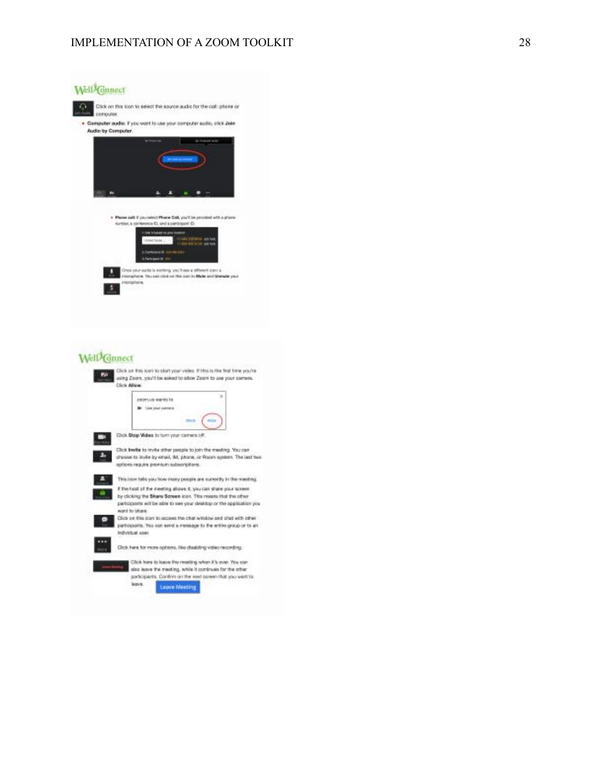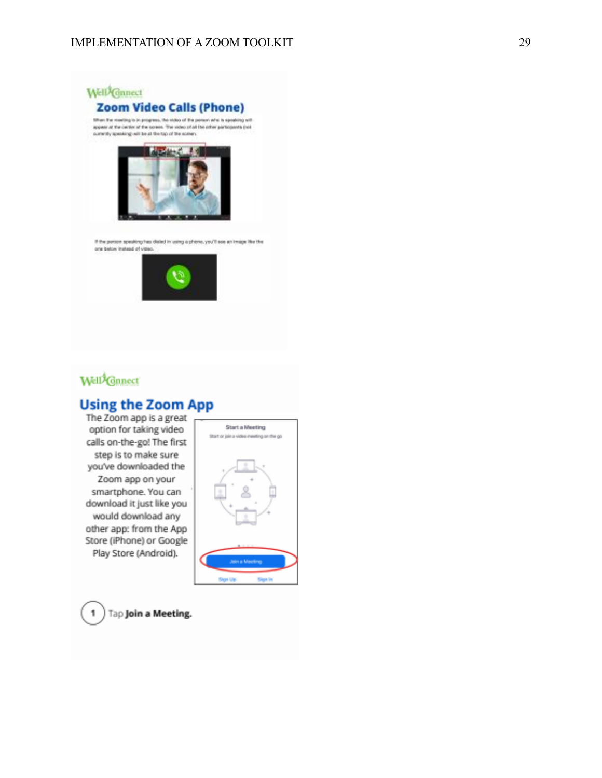## IMPLEMENTATION OF A ZOOM TOOLKIT 29



# Well<sup>2</sup>Gnnect

# **Using the Zoom App**

The Zoom app is a great option for taking video calls on-the-go! The first step is to make sure you've downloaded the Zoom app on your smartphone. You can download it just like you would download any other app: from the App Store (iPhone) or Google Play Store (Android).





1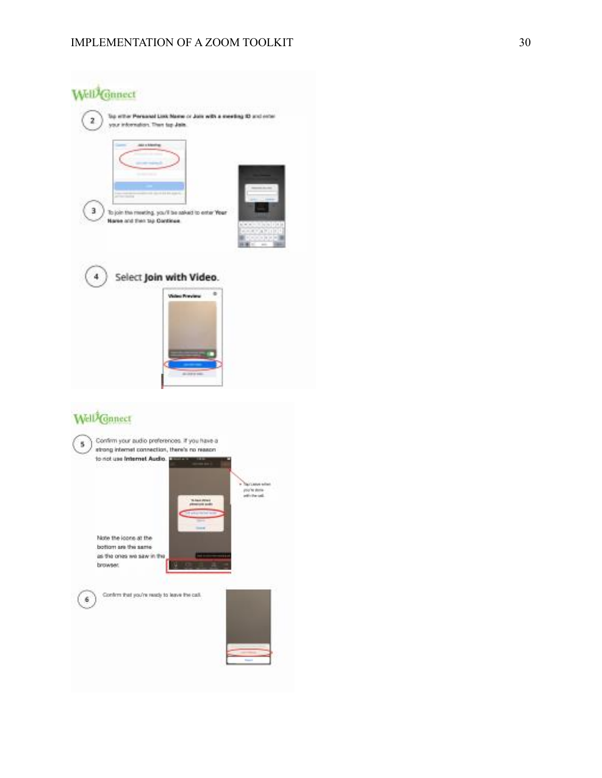

Confirm that you're ready to leave the call.  $6$ 



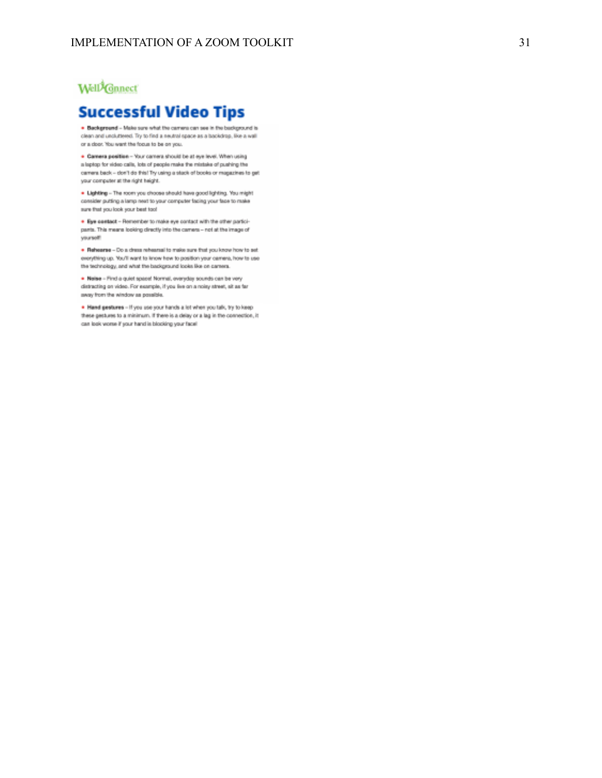# Well<sup>2</sup>Ganect

# **Successful Video Tips**

. Background - Make sure what the carriers can see in the background is clean and uncluttered. Try to find a neutral space as a backdrap, like a wall or a door. You want the focus to be on you.

. Camera position - Your camera should be at eye level. When using a laptop for eideo calls, lots of people make the mistake of pushing the camera back - don't do this! Try using a stack of books or magazines to get your computer at the right height.

. Lighting - The room you choose should have good lighting. You might consider putting a lamp next to your computer facing your face to make sure that you look your best tool

. Eye contact - Remember to make eye contact with the other participants. This means looking directly into the camera - not at the image of yourself!

. Reference - Do a dress rehearsal to make sure that you know how to set everything up. You'll want to know how to position your camera, how to use the technology, and what the background looks like on carrera.

. Naise - Find a quiet space! Normal, everyday sounds can be very distructing on video. For example, if you live on a noisy street, alt as far away from the window as possible.

. Hand gestures - If you use your hands a lot when you talk, by to keep these pestures to a minimum. If there is a delay or a lag in the connection, it can look worse if your hand is blocking your face!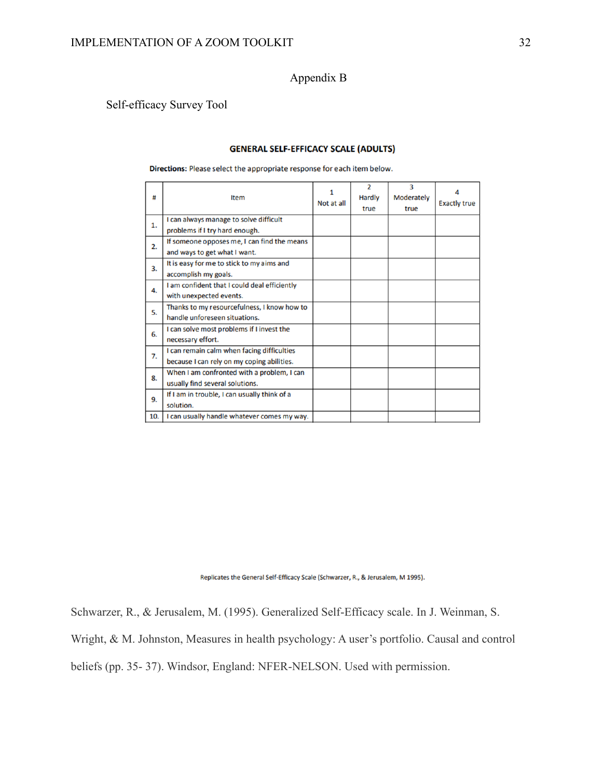Appendix B

## Self-efficacy Survey Tool

#### **GENERAL SELF-EFFICACY SCALE (ADULTS)**

Directions: Please select the appropriate response for each item below.

| #   | Item                                         | 1<br>Not at all | $\overline{2}$<br><b>Hardly</b><br>true | 3<br>Moderately<br>true | <b>Exactly true</b> |
|-----|----------------------------------------------|-----------------|-----------------------------------------|-------------------------|---------------------|
| 1.  | I can always manage to solve difficult       |                 |                                         |                         |                     |
|     | problems if I try hard enough.               |                 |                                         |                         |                     |
| 2.  | If someone opposes me, I can find the means  |                 |                                         |                         |                     |
|     | and ways to get what I want.                 |                 |                                         |                         |                     |
| 3.  | It is easy for me to stick to my aims and    |                 |                                         |                         |                     |
|     | accomplish my goals.                         |                 |                                         |                         |                     |
| 4.  | I am confident that I could deal efficiently |                 |                                         |                         |                     |
|     | with unexpected events.                      |                 |                                         |                         |                     |
| 5.  | Thanks to my resourcefulness, I know how to  |                 |                                         |                         |                     |
|     | handle unforeseen situations.                |                 |                                         |                         |                     |
| 6.  | I can solve most problems if I invest the    |                 |                                         |                         |                     |
|     | necessary effort.                            |                 |                                         |                         |                     |
|     | I can remain calm when facing difficulties   |                 |                                         |                         |                     |
| 7.  | because I can rely on my coping abilities.   |                 |                                         |                         |                     |
| 8.  | When I am confronted with a problem, I can   |                 |                                         |                         |                     |
|     | usually find several solutions.              |                 |                                         |                         |                     |
| 9.  | If I am in trouble, I can usually think of a |                 |                                         |                         |                     |
|     | solution.                                    |                 |                                         |                         |                     |
| 10. | I can usually handle whatever comes my way.  |                 |                                         |                         |                     |
|     |                                              |                 |                                         |                         |                     |

Replicates the General Self-Efficacy Scale (Schwarzer, R., & Jerusalem, M 1995).

Schwarzer, R., & Jerusalem, M. (1995). Generalized Self-Efficacy scale. In J. Weinman, S.

Wright, & M. Johnston, Measures in health psychology: A user's portfolio. Causal and control

beliefs (pp. 35- 37). Windsor, England: NFER-NELSON. Used with permission.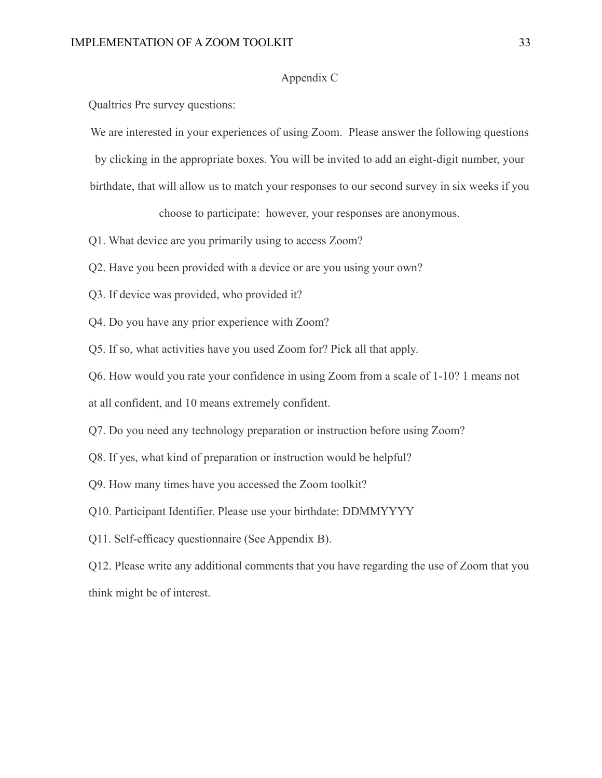## Appendix C

Qualtrics Pre survey questions:

We are interested in your experiences of using Zoom. Please answer the following questions

by clicking in the appropriate boxes. You will be invited to add an eight-digit number, your

birthdate, that will allow us to match your responses to our second survey in six weeks if you

choose to participate: however, your responses are anonymous.

- Q1. What device are you primarily using to access Zoom?
- Q2. Have you been provided with a device or are you using your own?
- Q3. If device was provided, who provided it?
- Q4. Do you have any prior experience with Zoom?

Q5. If so, what activities have you used Zoom for? Pick all that apply.

Q6. How would you rate your confidence in using Zoom from a scale of 1-10? 1 means not

at all confident, and 10 means extremely confident.

Q7. Do you need any technology preparation or instruction before using Zoom?

Q8. If yes, what kind of preparation or instruction would be helpful?

Q9. How many times have you accessed the Zoom toolkit?

Q10. Participant Identifier. Please use your birthdate: DDMMYYYY

Q11. Self-efficacy questionnaire (See Appendix B).

Q12. Please write any additional comments that you have regarding the use of Zoom that you think might be of interest.